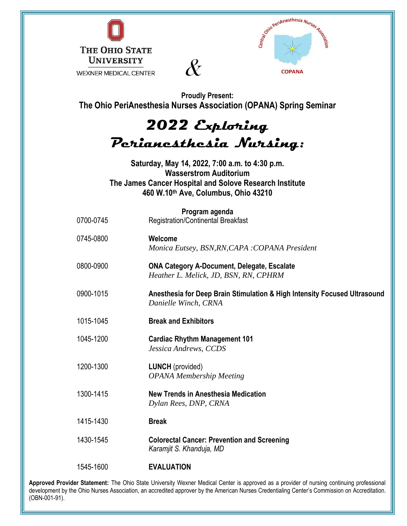



**Proudly Present: The Ohio PeriAnesthesia Nurses Association (OPANA) Spring Seminar**

## 2022 Exploring Perianesthesia Nursing:

**Saturday, May 14, 2022, 7:00 a.m. to 4:30 p.m. Wasserstrom Auditorium The James Cancer Hospital and Solove Research Institute 460 W.10th Ave, Columbus, Ohio 43210**

| 0700-0745 | Program agenda<br><b>Registration/Continental Breakfast</b>                                       |
|-----------|---------------------------------------------------------------------------------------------------|
| 0745-0800 | Welcome<br>Monica Eutsey, BSN, RN, CAPA : COPANA President                                        |
| 0800-0900 | <b>ONA Category A-Document, Delegate, Escalate</b><br>Heather L. Melick, JD, BSN, RN, CPHRM       |
| 0900-1015 | Anesthesia for Deep Brain Stimulation & High Intensity Focused Ultrasound<br>Danielle Winch, CRNA |
| 1015-1045 | <b>Break and Exhibitors</b>                                                                       |
| 1045-1200 | <b>Cardiac Rhythm Management 101</b><br>Jessica Andrews, CCDS                                     |
| 1200-1300 | <b>LUNCH</b> (provided)<br><b>OPANA Membership Meeting</b>                                        |
| 1300-1415 | <b>New Trends in Anesthesia Medication</b><br>Dylan Rees, DNP, CRNA                               |
| 1415-1430 | <b>Break</b>                                                                                      |
| 1430-1545 | <b>Colorectal Cancer: Prevention and Screening</b><br>Karamjit S. Khanduja, MD                    |
| 1545-1600 | <b>EVALUATION</b>                                                                                 |

**Approved Provider Statement:** The Ohio State University Wexner Medical Center is approved as a provider of nursing continuing professional development by the Ohio Nurses Association, an accredited approver by the American Nurses Credentialing Center's Commission on Accreditation. (OBN-001-91).